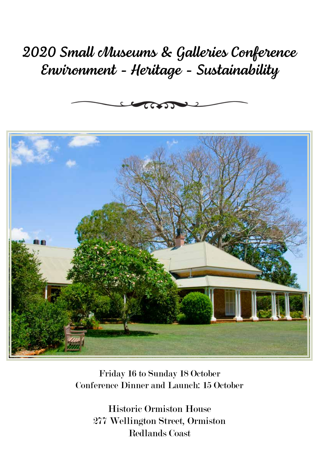# *2020 Small Museums & Galleries Conference Environment - Heritage - Sustainability*





Friday 16 to Sunday 18 October Conference Dinner and Launch: 15 October

Historic Ormiston House 277 Wellington Street, Ormiston Redlands Coast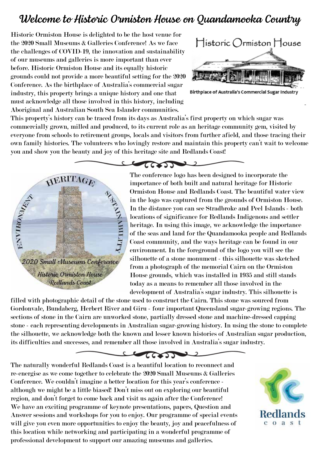#### *Welcome to Historic Ormiston House on Quandamooka Country*

Historic Ormiston House is delighted to be the host venue for the 2020 Small Museums & Galleries Conference! As we face the challenges of COVID-19, the innovation and sustainability of our museums and galleries is more important than ever before. Historic Ormiston House and its equally historic grounds could not provide a more beautiful setting for the 2020 Conference. As the birthplace of Australia's commercial sugar industry, this property brings a unique history and one that must acknowledge all those involved in this history, including Aboriginal and Australian South Sea Islander communities.



Birthplace of Australia's Commercial Sugar Industry

This property's history can be traced from its days as Australia's first property on which sugar was commercially grown, milled and produced, to its current role as an heritage community gem, visited by everyone from schools to retirement groups, locals and visitors from further afield, and those tracing their own family histories. The volunteers who lovingly restore and maintain this property can't wait to welcome you and show you the beauty and joy of this heritage site and Redlands Coast!

come



The conference logo has been designed to incorporate the importance of both built and natural heritage for Historic Ormiston House and Redlands Coast. The beautiful water view in the logo was captured from the grounds of Ormiston House. In the distance you can see Stradbroke and Peel Islands - both locations of significance for Redlands Indigenous and settler heritage. In using this image, we acknowledge the importance of the seas and land for the Quandamooka people and Redlands Coast community, and the ways heritage can be found in our environment. In the foreground of the logo you will see the silhouette of a stone monument - this silhouette was sketched from a photograph of the memorial Cairn on the Ormiston House grounds, which was installed in 1935 and still stands today as a means to remember all those involved in the development of Australia's sugar industry. This silhouette is

filled with photographic detail of the stone used to construct the Cairn. This stone was sourced from Gordonvale, Bundaberg, Herbert River and Giru - four important Queensland sugar-growing regions. The sections of stone in the Cairn are unworked stone, partially dressed stone and machine-dressed capping stone - each representing developments in Australian sugar-growing history. In using the stone to complete the silhouette, we acknowledge both the known and lesser known histories of Australian sugar production, its difficulties and successes, and remember all those involved in Australia's sugar industry.

#### $\sim$ ⊇

The naturally wonderful Redlands Coast is a beautiful location to reconnect and re-energise as we come together to celebrate the 2020 Small Museums & Galleries Conference. We couldn't imagine a better location for this year's conference although we might be a little biased! Don't miss out on exploring our beautiful region, and don't forget to come back and visit us again after the Conference! We have an exciting programme of keynote presentations, papers, Question and Answer sessions and workshops for you to enjoy. Our programme of special events will give you even more opportunities to enjoy the beauty, joy and peacefulness of this location while networking and participating in a wonderful programme of professional development to support our amazing museums and galleries.

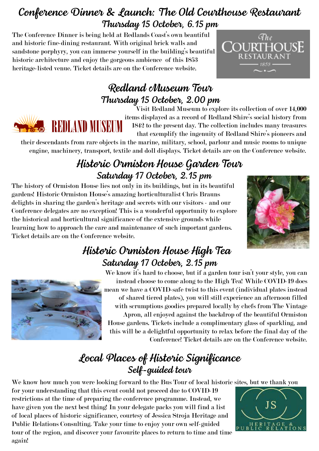# *Conference Dinner & Launch: The Old Courthouse Restaurant Thursday 15 October, 6.15 pm*

The Conference Dinner is being held at Redlands Coast's own beautiful and historic fine-dining restaurant. With original brick walls and sandstone porphyry, you can immerse yourself in the building's beautiful historic architecture and enjoy the gorgeous ambience of this 1853 heritage-listed venue. Ticket details are on the Conference website.



# *Redland Museum Tour Thursday 15 October, 2.00 pm*



Visit Redland Museum to explore its collection of over 14,000 items displayed as a record of Redland Shire's social history from 1842 to the present day. The collection includes many treasures that exemplify the ingenuity of Redland Shire's pioneers and

their descendants from rare objects in the marine, military, school, parlour and music rooms to unique engine, machinery, transport, textile and doll displays. Ticket details are on the Conference website.

## *Historic Ormiston House Garden Tour Saturday 17 October, 2.15 pm*

The history of Ormiston House lies not only in its buildings, but in its beautiful gardens! Historic Ormiston House's amazing horticulturalist Chris Brauns delights in sharing the garden's heritage and secrets with our visitors - and our Conference delegates are no exception! This is a wonderful opportunity to explore the historical and horticultural significance of the extensive grounds while learning how to approach the care and maintenance of such important gardens. Ticket details are on the Conference website.



#### *Historic Ormiston House High Tea Saturday 17 October, 2.15 pm*



We know it's hard to choose, but if a garden tour isn't your style, you can instead choose to come along to the High Tea! While COVID-19 does mean we have a COVID-safe twist to this event (individual plates instead of shared tiered plates), you will still experience an afternoon filled with scrumptious goodies prepared locally by chefs from The Vintage Apron, all enjoyed against the backdrop of the beautiful Ormiston House gardens. Tickets include a complimentary glass of sparkling, and this will be a delightful opportunity to relax before the final day of the Conference! Ticket details are on the Conference website.

# *Local Places of Historic Significance Self-guided tour*

We know how much you were looking forward to the Bus Tour of local historic sites, but we thank you

for your understanding that this event could not proceed due to COVID-19 restrictions at the time of preparing the conference programme. Instead, we have given you the next best thing! In your delegate packs you will find a list of local places of historic significance, courtesy of Jessica Stroja Heritage and Public Relations Consulting. Take your time to enjoy your own self-guided tour of the region, and discover your favourite places to return to time and time again!

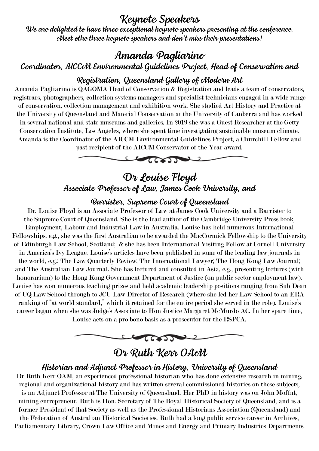#### *Keynote Speakers*

*We are delighted to have three exceptional keynote speakers presenting at the conference. Meet othe three keynote speakers and don't miss their presentations!*

#### *Amanda Pagliarino*

*Coordinator, AICCM Environmental Guidelines Project, Head of Conservation and* 

#### *Registration, Queensland Gallery of Modern Art*

Amanda Pagliarino is QAGOMA Head of Conservation & Registration and leads a team of conservators, registrars, photographers, collection systems managers and specialist technicians engaged in a wide range of conservation, collection management and exhibition work. She studied Art History and Practice at the University of Queensland and Material Conservation at the University of Canberra and has worked in several national and state museums and galleries. In 2019 she was a Guest Researcher at the Getty Conservation Institute, Los Angeles, where she spent time investigating sustainable museum climate. Amanda is the Coordinator of the AICCM Environmental Guidelines Project, a Churchill Fellow and past recipient of the AICCM Conservator of the Year award.



#### *Dr Louise Floyd Associate Professor of Law, James Cook University, and*

#### *Barrister, Supreme Court of Queensland*

Dr. Louise Floyd is an Associate Professor of Law at James Cook University and a Barrister to the Supreme Court of Queensland. She is the lead author of the Cambridge University Press book, Employment, Labour and Industrial Law in Australia. Louise has held numerous International Fellowships, e.g., she was the first Australian to be awarded the MacCormick Fellowship to the University of Edinburgh Law School, Scotland; & she has been International Visiting Fellow at Cornell University in America's Ivy League. Louise's articles have been published in some of the leading law journals in the world, e.g.: The Law Quarterly Review; The International Lawyer; The Hong Kong Law Journal; and The Australian Law Journal. She has lectured and consulted in Asia, e.g., presenting lectures (with honorarium) to the Hong Kong Government Department of Justice (on public sector employment law). Louise has won numerous teaching prizes and held academic leadership positions ranging from Sub Dean of UQ Law School through to JCU Law Director of Research (where she led her Law School to an ERA ranking of "at world standard," which it retained for the entire period she served in the role). Louise's career began when she was Judge's Associate to Hon Justice Margaret McMurdo AC. In her spare time, Louise acts on a pro bono basis as a prosecutor for the RSPCA.



#### *Dr Ruth Kerr OAM*

#### *Historian and Adjunct Professor in History, University of Queensland*

Dr Ruth Kerr OAM, an experienced professional historian who has done extensive research in mining, regional and organizational history and has written several commissioned histories on these subjects, is an Adjunct Professor at The University of Queensland. Her PhD in history was on John Moffat, mining entrepreneur. Ruth is Hon. Secretary of The Royal Historical Society of Queensland, and is a former President of that Society as well as the Professional Historians Association (Queensland) and the Federation of Australian Historical Societies. Ruth had a long public service career in Archives, Parliamentary Library, Crown Law Office and Mines and Energy and Primary Industries Departments.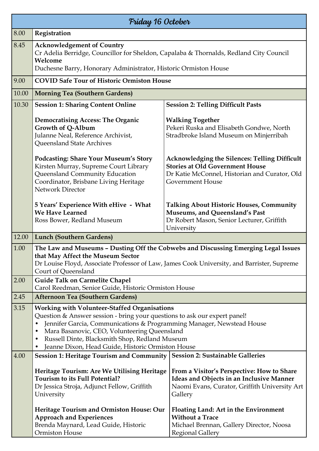| Friday 16 October |                                                                                                                                                                                                                                                                                                                                                                                                 |                                                                                                                                                                            |  |  |
|-------------------|-------------------------------------------------------------------------------------------------------------------------------------------------------------------------------------------------------------------------------------------------------------------------------------------------------------------------------------------------------------------------------------------------|----------------------------------------------------------------------------------------------------------------------------------------------------------------------------|--|--|
| 8.00              | Registration                                                                                                                                                                                                                                                                                                                                                                                    |                                                                                                                                                                            |  |  |
| 8.45              | <b>Acknowledgement of Country</b><br>Cr Adelia Berridge, Councillor for Sheldon, Capalaba & Thornalds, Redland City Council<br>Welcome<br>Duchesne Barry, Honorary Administrator, Historic Ormiston House                                                                                                                                                                                       |                                                                                                                                                                            |  |  |
| 9.00              | <b>COVID Safe Tour of Historic Ormiston House</b>                                                                                                                                                                                                                                                                                                                                               |                                                                                                                                                                            |  |  |
| 10.00             | <b>Morning Tea (Southern Gardens)</b>                                                                                                                                                                                                                                                                                                                                                           |                                                                                                                                                                            |  |  |
| 10.30             | <b>Session 1: Sharing Content Online</b>                                                                                                                                                                                                                                                                                                                                                        | <b>Session 2: Telling Difficult Pasts</b>                                                                                                                                  |  |  |
|                   | <b>Democratising Access: The Organic</b><br>Growth of Q-Album<br>Julanne Neal, Reference Archivist,<br>Queensland State Archives                                                                                                                                                                                                                                                                | <b>Walking Together</b><br>Pekeri Ruska and Elisabeth Gondwe, North<br>Stradbroke Island Museum on Minjerribah                                                             |  |  |
|                   | <b>Podcasting: Share Your Museum's Story</b><br>Kirsten Murray, Supreme Court Library<br>Queensland Community Education<br>Coordinator, Brisbane Living Heritage<br><b>Network Director</b>                                                                                                                                                                                                     | <b>Acknowledging the Silences: Telling Difficult</b><br><b>Stories at Old Government House</b><br>Dr Katie McConnel, Historian and Curator, Old<br><b>Government House</b> |  |  |
|                   | 5 Years' Experience With eHive - What<br>We Have Learned<br>Ross Bower, Redland Museum                                                                                                                                                                                                                                                                                                          | <b>Talking About Historic Houses, Community</b><br>Museums, and Queensland's Past<br>Dr Robert Mason, Senior Lecturer, Griffith<br>University                              |  |  |
| 12.00             | <b>Lunch (Southern Gardens)</b>                                                                                                                                                                                                                                                                                                                                                                 |                                                                                                                                                                            |  |  |
| 1.00              | The Law and Museums - Dusting Off the Cobwebs and Discussing Emerging Legal Issues<br>that May Affect the Museum Sector<br>Dr Louise Floyd, Associate Professor of Law, James Cook University, and Barrister, Supreme<br>Court of Queensland                                                                                                                                                    |                                                                                                                                                                            |  |  |
| 2.00              | <b>Guide Talk on Carmelite Chapel</b>                                                                                                                                                                                                                                                                                                                                                           |                                                                                                                                                                            |  |  |
| 2.45              | Carol Reedman, Senior Guide, Historic Ormiston House<br><b>Afternoon Tea (Southern Gardens)</b>                                                                                                                                                                                                                                                                                                 |                                                                                                                                                                            |  |  |
| 3.15              | <b>Working with Volunteer-Staffed Organisations</b><br>Question & Answer session - bring your questions to ask our expert panel!<br>Jennifer Garcia, Communications & Programming Manager, Newstead House<br>Mara Basanovic, CEO, Volunteering Queensland<br>$\bullet$<br>Russell Dinte, Blacksmith Shop, Redland Museum<br>٠<br>Jeanne Dixon, Head Guide, Historic Ormiston House<br>$\bullet$ |                                                                                                                                                                            |  |  |
| 4.00              | Session 1: Heritage Tourism and Community                                                                                                                                                                                                                                                                                                                                                       | <b>Session 2: Sustainable Galleries</b>                                                                                                                                    |  |  |
|                   | Heritage Tourism: Are We Utilising Heritage<br><b>Tourism to its Full Potential?</b><br>Dr Jessica Stroja, Adjunct Fellow, Griffith<br>University                                                                                                                                                                                                                                               | From a Visitor's Perspective: How to Share<br><b>Ideas and Objects in an Inclusive Manner</b><br>Naomi Evans, Curator, Griffith University Art<br>Gallery                  |  |  |
|                   | Heritage Tourism and Ormiston House: Our<br><b>Approach and Experiences</b><br>Brenda Maynard, Lead Guide, Historic<br>Ormiston House                                                                                                                                                                                                                                                           | Floating Land: Art in the Environment<br><b>Without a Trace</b><br>Michael Brennan, Gallery Director, Noosa<br><b>Regional Gallery</b>                                     |  |  |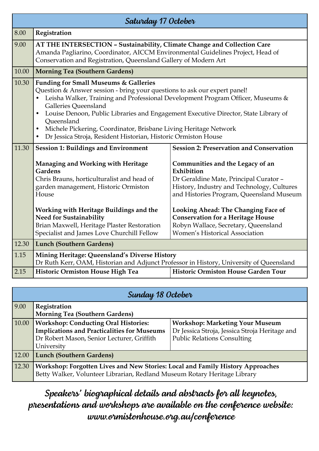| Saturday 17 October |                                                                                                                                                                                                                                                                                                                                                                                                                                                                                                                            |                                                                                                                                                                                    |  |
|---------------------|----------------------------------------------------------------------------------------------------------------------------------------------------------------------------------------------------------------------------------------------------------------------------------------------------------------------------------------------------------------------------------------------------------------------------------------------------------------------------------------------------------------------------|------------------------------------------------------------------------------------------------------------------------------------------------------------------------------------|--|
| 8.00                | Registration                                                                                                                                                                                                                                                                                                                                                                                                                                                                                                               |                                                                                                                                                                                    |  |
| 9.00                | AT THE INTERSECTION - Sustainability, Climate Change and Collection Care<br>Amanda Pagliarino, Coordinator, AICCM Environmental Guidelines Project, Head of<br>Conservation and Registration, Queensland Gallery of Modern Art                                                                                                                                                                                                                                                                                             |                                                                                                                                                                                    |  |
| 10.00               | <b>Morning Tea (Southern Gardens)</b>                                                                                                                                                                                                                                                                                                                                                                                                                                                                                      |                                                                                                                                                                                    |  |
| 10.30               | <b>Funding for Small Museums &amp; Galleries</b><br>Question & Answer session - bring your questions to ask our expert panel!<br>Leisha Walker, Training and Professional Development Program Officer, Museums &<br>Galleries Queensland<br>Louise Denoon, Public Libraries and Engagement Executive Director, State Library of<br>$\bullet$<br>Queensland<br>Michele Pickering, Coordinator, Brisbane Living Heritage Network<br>$\bullet$<br>Dr Jessica Stroja, Resident Historian, Historic Ormiston House<br>$\bullet$ |                                                                                                                                                                                    |  |
| 11.30               | <b>Session 1: Buildings and Environment</b>                                                                                                                                                                                                                                                                                                                                                                                                                                                                                | <b>Session 2: Preservation and Conservation</b>                                                                                                                                    |  |
|                     | <b>Managing and Working with Heritage</b><br><b>Gardens</b><br>Chris Brauns, horticulturalist and head of<br>garden management, Historic Ormiston<br>House                                                                                                                                                                                                                                                                                                                                                                 | Communities and the Legacy of an<br>Exhibition<br>Dr Geraldine Mate, Principal Curator -<br>History, Industry and Technology, Cultures<br>and Histories Program, Queensland Museum |  |
|                     | <b>Working with Heritage Buildings and the</b><br><b>Need for Sustainability</b><br>Brian Maxwell, Heritage Plaster Restoration<br>Specialist and James Love Churchill Fellow                                                                                                                                                                                                                                                                                                                                              | Looking Ahead: The Changing Face of<br><b>Conservation for a Heritage House</b><br>Robyn Wallace, Secretary, Queensland<br><b>Women's Historical Association</b>                   |  |
| 12.30               | <b>Lunch (Southern Gardens)</b>                                                                                                                                                                                                                                                                                                                                                                                                                                                                                            |                                                                                                                                                                                    |  |
| 1.15                | Mining Heritage: Queensland's Diverse History<br>Dr Ruth Kerr, OAM, Historian and Adjunct Professor in History, University of Queensland                                                                                                                                                                                                                                                                                                                                                                                   |                                                                                                                                                                                    |  |
| 2.15                | Historic Ormiston House High Tea                                                                                                                                                                                                                                                                                                                                                                                                                                                                                           | Historic Ormiston House Garden Tour                                                                                                                                                |  |

| Sunday 18 October |                                                                                                                                                             |                                                |  |  |
|-------------------|-------------------------------------------------------------------------------------------------------------------------------------------------------------|------------------------------------------------|--|--|
| 9.00              | Registration                                                                                                                                                |                                                |  |  |
|                   | <b>Morning Tea (Southern Gardens)</b>                                                                                                                       |                                                |  |  |
| 10.00             | <b>Workshop: Conducting Oral Histories:</b>                                                                                                                 | <b>Workshop: Marketing Your Museum</b>         |  |  |
|                   | <b>Implications and Practicalities for Museums</b>                                                                                                          | Dr Jessica Stroja, Jessica Stroja Heritage and |  |  |
|                   | Dr Robert Mason, Senior Lecturer, Griffith                                                                                                                  | <b>Public Relations Consulting</b>             |  |  |
|                   | University                                                                                                                                                  |                                                |  |  |
| 12.00             | <b>Lunch (Southern Gardens)</b>                                                                                                                             |                                                |  |  |
| 12.30             | Workshop: Forgotten Lives and New Stories: Local and Family History Approaches<br>Betty Walker, Volunteer Librarian, Redland Museum Rotary Heritage Library |                                                |  |  |

*Speakers' biographical details and abstracts for all keynotes, presentations and workshops are available on the conference website: www.ormistonhouse.org.au/conference*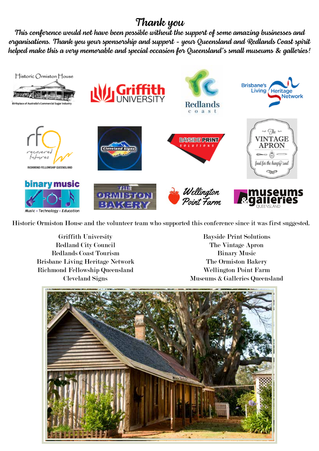# *Thank you*

*This conference would not have been possible without the support of some amazing businesses and organisations. Thank you your sponsorship and support - your Queensland and Redlands Coast spirit helped make this a very memorable and special occasion for Queensland's small museums & galleries!*



Historic Ormiston House and the volunteer team who supported this conference since it was first suggested.

Griffith University Redland City Council Redlands Coast Tourism Brisbane Living Heritage Network Richmond Fellowship Queensland Cleveland Signs

Bayside Print Solutions The Vintage Apron Binary Music The Ormiston Bakery Wellington Point Farm Museums & Galleries Queensland